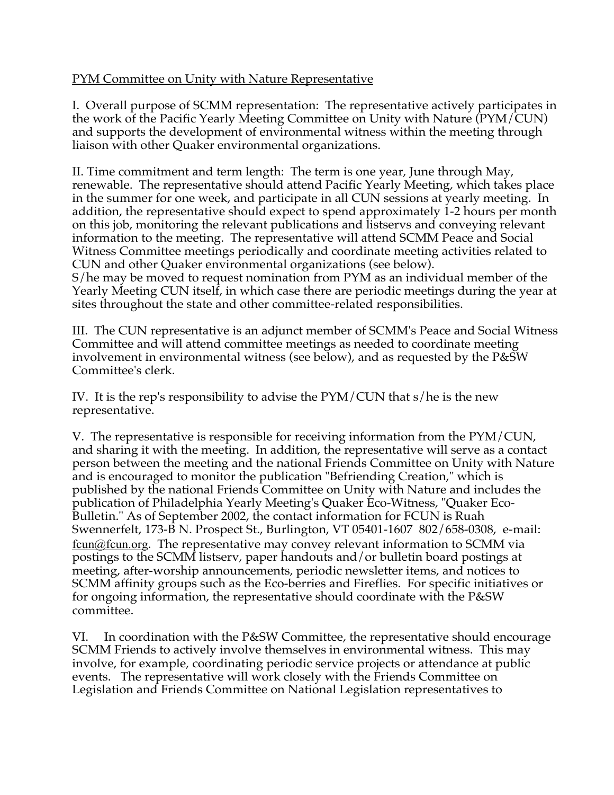## PYM Committee on Unity with Nature Representative

I. Overall purpose of SCMM representation: The representative actively participates in the work of the Pacific Yearly Meeting Committee on Unity with Nature (PYM/CUN) and supports the development of environmental witness within the meeting through liaison with other Quaker environmental organizations.

II. Time commitment and term length: The term is one year, June through May, renewable. The representative should attend Pacific Yearly Meeting, which takes place in the summer for one week, and participate in all CUN sessions at yearly meeting. In addition, the representative should expect to spend approximately 1-2 hours per month on this job, monitoring the relevant publications and listservs and conveying relevant information to the meeting. The representative will attend SCMM Peace and Social Witness Committee meetings periodically and coordinate meeting activities related to CUN and other Quaker environmental organizations (see below). S/he may be moved to request nomination from PYM as an individual member of the Yearly Meeting CUN itself, in which case there are periodic meetings during the year at sites throughout the state and other committee-related responsibilities.

III. The CUN representative is an adjunct member of SCMM's Peace and Social Witness Committee and will attend committee meetings as needed to coordinate meeting involvement in environmental witness (see below), and as requested by the P&SW Committee's clerk.

IV. It is the rep's responsibility to advise the PYM/CUN that s/he is the new representative.

V. The representative is responsible for receiving information from the PYM/CUN, and sharing it with the meeting. In addition, the representative will serve as a contact person between the meeting and the national Friends Committee on Unity with Nature and is encouraged to monitor the publication "Befriending Creation," which is published by the national Friends Committee on Unity with Nature and includes the publication of Philadelphia Yearly Meeting's Quaker Eco-Witness, "Quaker Eco-Bulletin." As of September 2002, the contact information for FCUN is Ruah Swennerfelt, 173-B N. Prospect St., Burlington, VT 05401-1607 802/658-0308, e-mail: fcun@fcun.org. The representative may convey relevant information to SCMM via postings to the SCMM listserv, paper handouts and/or bulletin board postings at meeting, after-worship announcements, periodic newsletter items, and notices to SCMM affinity groups such as the Eco-berries and Fireflies. For specific initiatives or for ongoing information, the representative should coordinate with the P&SW committee.

VI. In coordination with the P&SW Committee, the representative should encourage SCMM Friends to actively involve themselves in environmental witness. This may involve, for example, coordinating periodic service projects or attendance at public events. The representative will work closely with the Friends Committee on Legislation and Friends Committee on National Legislation representatives to